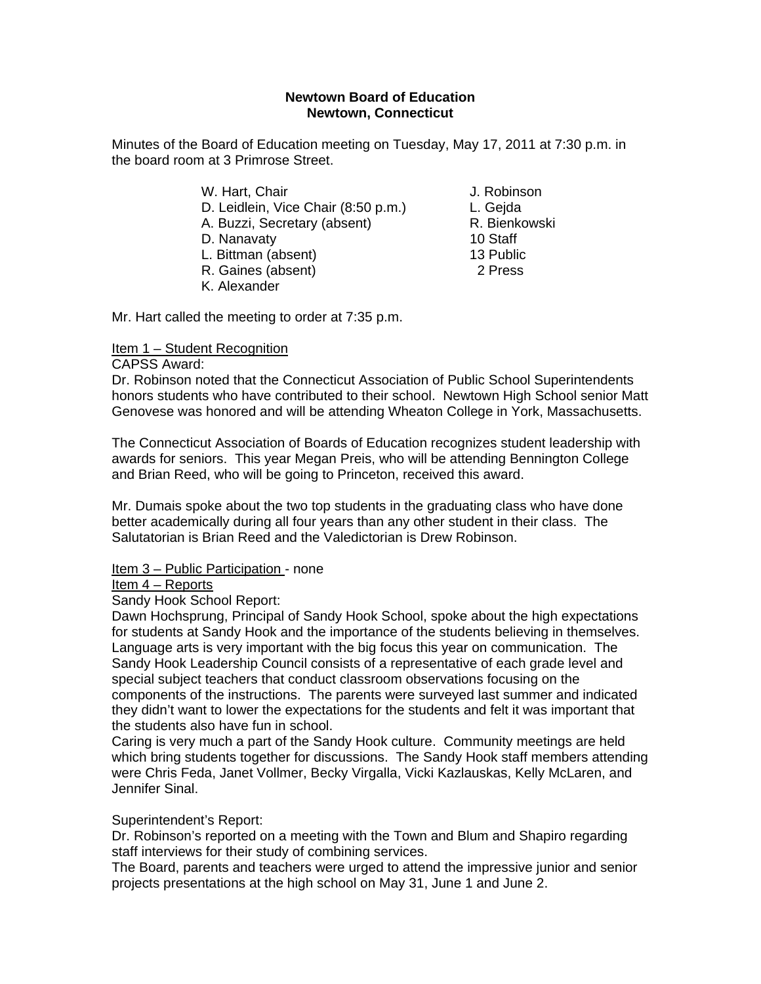#### **Newtown Board of Education Newtown, Connecticut**

Minutes of the Board of Education meeting on Tuesday, May 17, 2011 at 7:30 p.m. in the board room at 3 Primrose Street.

- W. Hart, Chair **J. Robinson**  D. Leidlein, Vice Chair (8:50 p.m.) L. Gejda A. Buzzi, Secretary (absent) R. Bienkowski D. Nanavaty 10 Staff L. Bittman (absent) 13 Public R. Gaines (absent) 2 Press
- K. Alexander

Mr. Hart called the meeting to order at 7:35 p.m.

# Item 1 – Student Recognition

## CAPSS Award:

Dr. Robinson noted that the Connecticut Association of Public School Superintendents honors students who have contributed to their school. Newtown High School senior Matt Genovese was honored and will be attending Wheaton College in York, Massachusetts.

The Connecticut Association of Boards of Education recognizes student leadership with awards for seniors. This year Megan Preis, who will be attending Bennington College and Brian Reed, who will be going to Princeton, received this award.

Mr. Dumais spoke about the two top students in the graduating class who have done better academically during all four years than any other student in their class. The Salutatorian is Brian Reed and the Valedictorian is Drew Robinson.

## Item 3 – Public Participation - none

## Item 4 – Reports

Sandy Hook School Report:

Dawn Hochsprung, Principal of Sandy Hook School, spoke about the high expectations for students at Sandy Hook and the importance of the students believing in themselves. Language arts is very important with the big focus this year on communication. The Sandy Hook Leadership Council consists of a representative of each grade level and special subject teachers that conduct classroom observations focusing on the components of the instructions. The parents were surveyed last summer and indicated they didn't want to lower the expectations for the students and felt it was important that the students also have fun in school.

Caring is very much a part of the Sandy Hook culture. Community meetings are held which bring students together for discussions. The Sandy Hook staff members attending were Chris Feda, Janet Vollmer, Becky Virgalla, Vicki Kazlauskas, Kelly McLaren, and Jennifer Sinal.

## Superintendent's Report:

Dr. Robinson's reported on a meeting with the Town and Blum and Shapiro regarding staff interviews for their study of combining services.

The Board, parents and teachers were urged to attend the impressive junior and senior projects presentations at the high school on May 31, June 1 and June 2.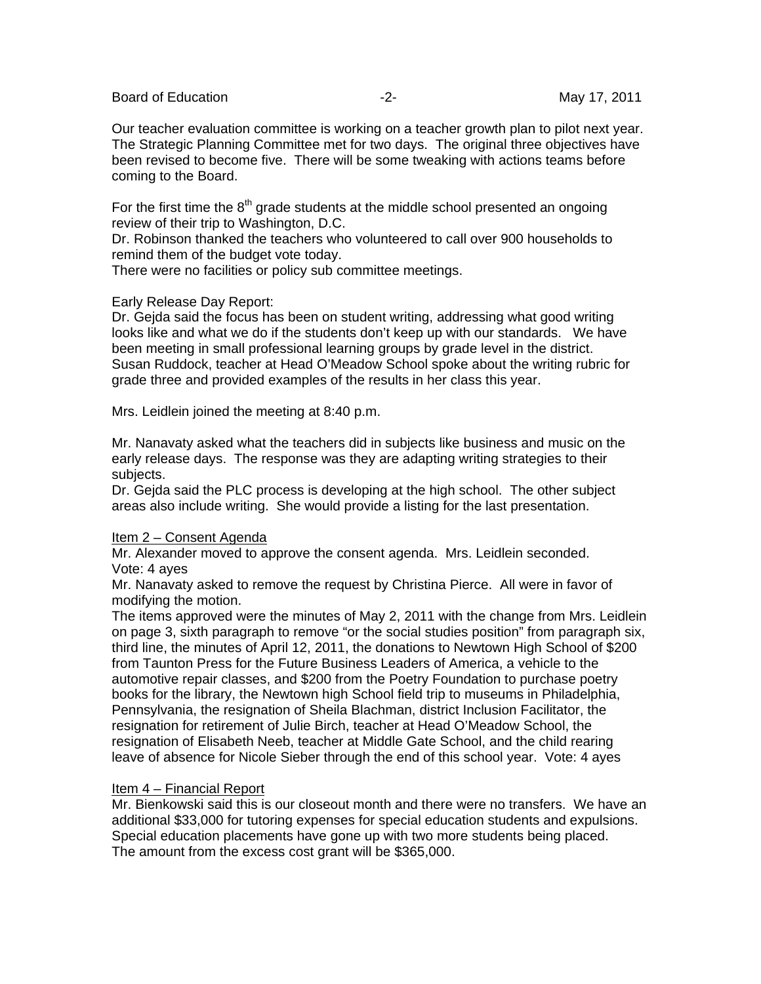Board of Education **-2-** Figure 2. The May 17, 2011

Our teacher evaluation committee is working on a teacher growth plan to pilot next year. The Strategic Planning Committee met for two days. The original three objectives have been revised to become five. There will be some tweaking with actions teams before coming to the Board.

For the first time the  $8<sup>th</sup>$  grade students at the middle school presented an ongoing review of their trip to Washington, D.C.

Dr. Robinson thanked the teachers who volunteered to call over 900 households to remind them of the budget vote today.

There were no facilities or policy sub committee meetings.

#### Early Release Day Report:

Dr. Gejda said the focus has been on student writing, addressing what good writing looks like and what we do if the students don't keep up with our standards. We have been meeting in small professional learning groups by grade level in the district. Susan Ruddock, teacher at Head O'Meadow School spoke about the writing rubric for grade three and provided examples of the results in her class this year.

Mrs. Leidlein joined the meeting at 8:40 p.m.

Mr. Nanavaty asked what the teachers did in subjects like business and music on the early release days. The response was they are adapting writing strategies to their subjects.

Dr. Gejda said the PLC process is developing at the high school. The other subject areas also include writing. She would provide a listing for the last presentation.

#### Item 2 – Consent Agenda

Mr. Alexander moved to approve the consent agenda. Mrs. Leidlein seconded. Vote: 4 ayes

Mr. Nanavaty asked to remove the request by Christina Pierce. All were in favor of modifying the motion.

The items approved were the minutes of May 2, 2011 with the change from Mrs. Leidlein on page 3, sixth paragraph to remove "or the social studies position" from paragraph six, third line, the minutes of April 12, 2011, the donations to Newtown High School of \$200 from Taunton Press for the Future Business Leaders of America, a vehicle to the automotive repair classes, and \$200 from the Poetry Foundation to purchase poetry books for the library, the Newtown high School field trip to museums in Philadelphia, Pennsylvania, the resignation of Sheila Blachman, district Inclusion Facilitator, the resignation for retirement of Julie Birch, teacher at Head O'Meadow School, the resignation of Elisabeth Neeb, teacher at Middle Gate School, and the child rearing leave of absence for Nicole Sieber through the end of this school year. Vote: 4 ayes

#### Item 4 – Financial Report

Mr. Bienkowski said this is our closeout month and there were no transfers. We have an additional \$33,000 for tutoring expenses for special education students and expulsions. Special education placements have gone up with two more students being placed. The amount from the excess cost grant will be \$365,000.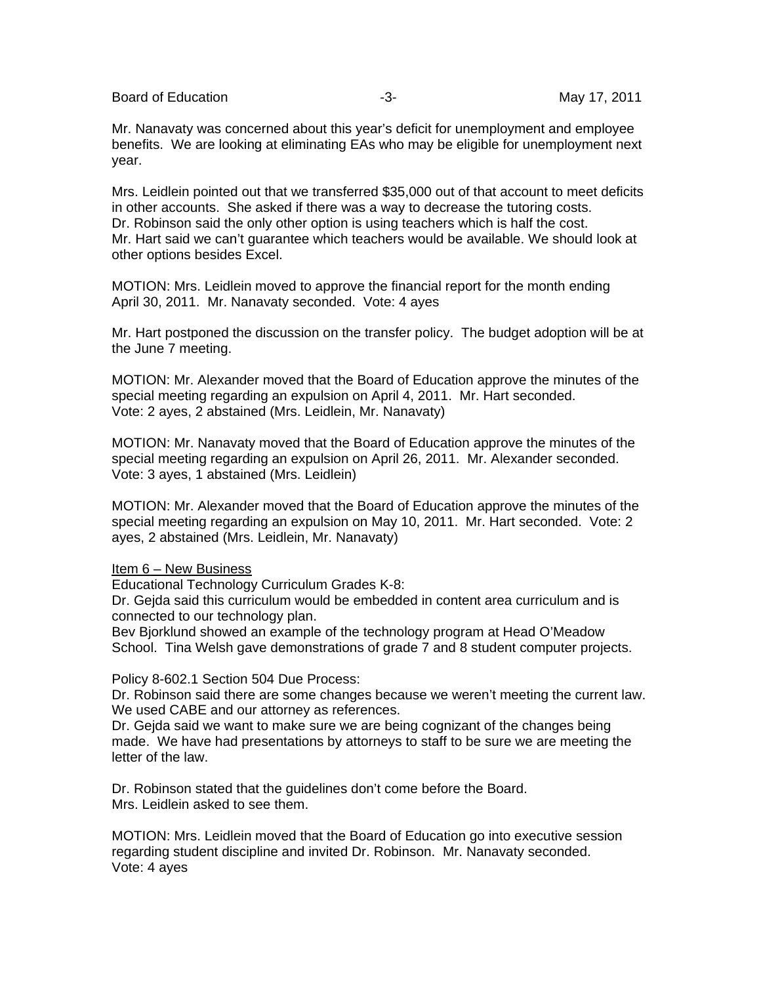Board of Education **-3-** Figure -3- May 17, 2011

Mr. Nanavaty was concerned about this year's deficit for unemployment and employee benefits. We are looking at eliminating EAs who may be eligible for unemployment next year.

Mrs. Leidlein pointed out that we transferred \$35,000 out of that account to meet deficits in other accounts. She asked if there was a way to decrease the tutoring costs. Dr. Robinson said the only other option is using teachers which is half the cost. Mr. Hart said we can't guarantee which teachers would be available. We should look at other options besides Excel.

MOTION: Mrs. Leidlein moved to approve the financial report for the month ending April 30, 2011. Mr. Nanavaty seconded. Vote: 4 ayes

Mr. Hart postponed the discussion on the transfer policy. The budget adoption will be at the June 7 meeting.

MOTION: Mr. Alexander moved that the Board of Education approve the minutes of the special meeting regarding an expulsion on April 4, 2011. Mr. Hart seconded. Vote: 2 ayes, 2 abstained (Mrs. Leidlein, Mr. Nanavaty)

MOTION: Mr. Nanavaty moved that the Board of Education approve the minutes of the special meeting regarding an expulsion on April 26, 2011. Mr. Alexander seconded. Vote: 3 ayes, 1 abstained (Mrs. Leidlein)

MOTION: Mr. Alexander moved that the Board of Education approve the minutes of the special meeting regarding an expulsion on May 10, 2011. Mr. Hart seconded. Vote: 2 ayes, 2 abstained (Mrs. Leidlein, Mr. Nanavaty)

Item 6 – New Business

Educational Technology Curriculum Grades K-8:

Dr. Gejda said this curriculum would be embedded in content area curriculum and is connected to our technology plan.

Bev Bjorklund showed an example of the technology program at Head O'Meadow School. Tina Welsh gave demonstrations of grade 7 and 8 student computer projects.

Policy 8-602.1 Section 504 Due Process:

Dr. Robinson said there are some changes because we weren't meeting the current law. We used CABE and our attorney as references.

Dr. Gejda said we want to make sure we are being cognizant of the changes being made. We have had presentations by attorneys to staff to be sure we are meeting the letter of the law.

Dr. Robinson stated that the guidelines don't come before the Board. Mrs. Leidlein asked to see them.

MOTION: Mrs. Leidlein moved that the Board of Education go into executive session regarding student discipline and invited Dr. Robinson. Mr. Nanavaty seconded. Vote: 4 ayes